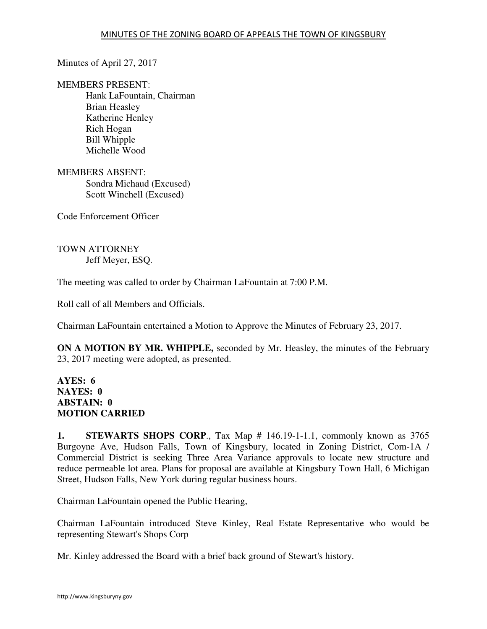Minutes of April 27, 2017

MEMBERS PRESENT:

Hank LaFountain, Chairman Brian Heasley Katherine Henley Rich Hogan Bill Whipple Michelle Wood

MEMBERS ABSENT: Sondra Michaud (Excused) Scott Winchell (Excused)

Code Enforcement Officer

TOWN ATTORNEY Jeff Meyer, ESQ.

The meeting was called to order by Chairman LaFountain at 7:00 P.M.

Roll call of all Members and Officials.

Chairman LaFountain entertained a Motion to Approve the Minutes of February 23, 2017.

**ON A MOTION BY MR. WHIPPLE,** seconded by Mr. Heasley, the minutes of the February 23, 2017 meeting were adopted, as presented.

### **AYES: 6 NAYES: 0 ABSTAIN: 0 MOTION CARRIED**

**1. STEWARTS SHOPS CORP**., Tax Map # 146.19-1-1.1, commonly known as 3765 Burgoyne Ave, Hudson Falls, Town of Kingsbury, located in Zoning District, Com-1A / Commercial District is seeking Three Area Variance approvals to locate new structure and reduce permeable lot area. Plans for proposal are available at Kingsbury Town Hall, 6 Michigan Street, Hudson Falls, New York during regular business hours.

Chairman LaFountain opened the Public Hearing,

Chairman LaFountain introduced Steve Kinley, Real Estate Representative who would be representing Stewart's Shops Corp

Mr. Kinley addressed the Board with a brief back ground of Stewart's history.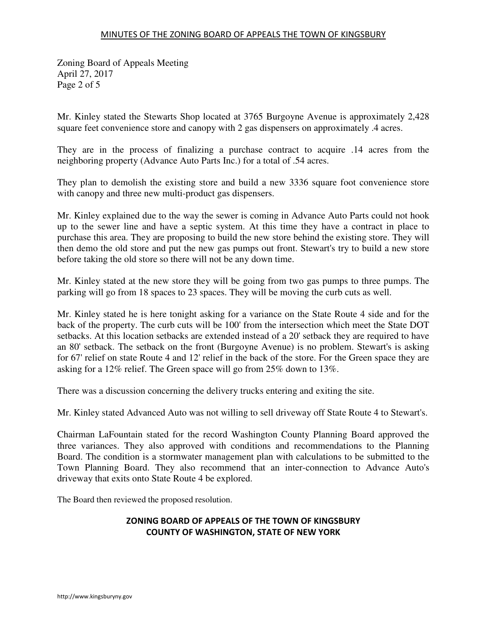Zoning Board of Appeals Meeting April 27, 2017 Page 2 of 5

Mr. Kinley stated the Stewarts Shop located at 3765 Burgoyne Avenue is approximately 2,428 square feet convenience store and canopy with 2 gas dispensers on approximately .4 acres.

They are in the process of finalizing a purchase contract to acquire .14 acres from the neighboring property (Advance Auto Parts Inc.) for a total of .54 acres.

They plan to demolish the existing store and build a new 3336 square foot convenience store with canopy and three new multi-product gas dispensers.

Mr. Kinley explained due to the way the sewer is coming in Advance Auto Parts could not hook up to the sewer line and have a septic system. At this time they have a contract in place to purchase this area. They are proposing to build the new store behind the existing store. They will then demo the old store and put the new gas pumps out front. Stewart's try to build a new store before taking the old store so there will not be any down time.

Mr. Kinley stated at the new store they will be going from two gas pumps to three pumps. The parking will go from 18 spaces to 23 spaces. They will be moving the curb cuts as well.

Mr. Kinley stated he is here tonight asking for a variance on the State Route 4 side and for the back of the property. The curb cuts will be 100' from the intersection which meet the State DOT setbacks. At this location setbacks are extended instead of a 20' setback they are required to have an 80' setback. The setback on the front (Burgoyne Avenue) is no problem. Stewart's is asking for 67' relief on state Route 4 and 12' relief in the back of the store. For the Green space they are asking for a 12% relief. The Green space will go from 25% down to 13%.

There was a discussion concerning the delivery trucks entering and exiting the site.

Mr. Kinley stated Advanced Auto was not willing to sell driveway off State Route 4 to Stewart's.

Chairman LaFountain stated for the record Washington County Planning Board approved the three variances. They also approved with conditions and recommendations to the Planning Board. The condition is a stormwater management plan with calculations to be submitted to the Town Planning Board. They also recommend that an inter-connection to Advance Auto's driveway that exits onto State Route 4 be explored.

The Board then reviewed the proposed resolution.

## ZONING BOARD OF APPEALS OF THE TOWN OF KINGSBURY COUNTY OF WASHINGTON, STATE OF NEW YORK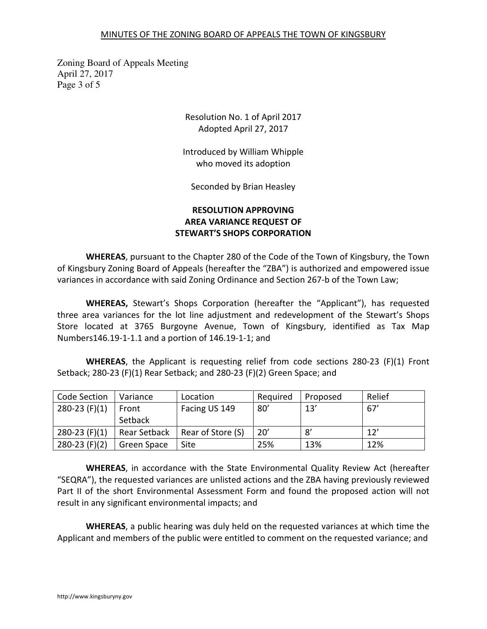### MINUTES OF THE ZONING BOARD OF APPEALS THE TOWN OF KINGSBURY

Zoning Board of Appeals Meeting April 27, 2017 Page 3 of 5

> Resolution No. 1 of April 2017 Adopted April 27, 2017

Introduced by William Whipple who moved its adoption

Seconded by Brian Heasley

# RESOLUTION APPROVING AREA VARIANCE REQUEST OF STEWART'S SHOPS CORPORATION

WHEREAS, pursuant to the Chapter 280 of the Code of the Town of Kingsbury, the Town of Kingsbury Zoning Board of Appeals (hereafter the "ZBA") is authorized and empowered issue variances in accordance with said Zoning Ordinance and Section 267-b of the Town Law;

WHEREAS, Stewart's Shops Corporation (hereafter the "Applicant"), has requested three area variances for the lot line adjustment and redevelopment of the Stewart's Shops Store located at 3765 Burgoyne Avenue, Town of Kingsbury, identified as Tax Map Numbers146.19-1-1.1 and a portion of 146.19-1-1; and

WHEREAS, the Applicant is requesting relief from code sections 280-23 (F)(1) Front Setback; 280-23 (F)(1) Rear Setback; and 280-23 (F)(2) Green Space; and

| Code Section    | Variance     | Location          | Required | Proposed | Relief |
|-----------------|--------------|-------------------|----------|----------|--------|
| $280-23$ (F)(1) | Front        | Facing US 149     | 80'      | 13'      | 67'    |
|                 | Setback      |                   |          |          |        |
| $280-23$ (F)(1) | Rear Setback | Rear of Store (S) | 20'      | 8'       | 12'    |
| $280-23$ (F)(2) | Green Space  | Site              | 25%      | 13%      | 12%    |

WHEREAS, in accordance with the State Environmental Quality Review Act (hereafter "SEQRA"), the requested variances are unlisted actions and the ZBA having previously reviewed Part II of the short Environmental Assessment Form and found the proposed action will not result in any significant environmental impacts; and

WHEREAS, a public hearing was duly held on the requested variances at which time the Applicant and members of the public were entitled to comment on the requested variance; and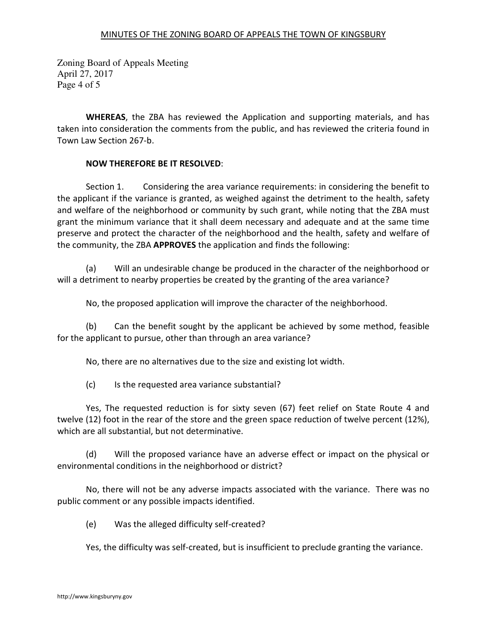Zoning Board of Appeals Meeting April 27, 2017 Page 4 of 5

WHEREAS, the ZBA has reviewed the Application and supporting materials, and has taken into consideration the comments from the public, and has reviewed the criteria found in Town Law Section 267-b.

## NOW THEREFORE BE IT RESOLVED:

 Section 1. Considering the area variance requirements: in considering the benefit to the applicant if the variance is granted, as weighed against the detriment to the health, safety and welfare of the neighborhood or community by such grant, while noting that the ZBA must grant the minimum variance that it shall deem necessary and adequate and at the same time preserve and protect the character of the neighborhood and the health, safety and welfare of the community, the ZBA APPROVES the application and finds the following:

 (a) Will an undesirable change be produced in the character of the neighborhood or will a detriment to nearby properties be created by the granting of the area variance?

No, the proposed application will improve the character of the neighborhood.

 (b) Can the benefit sought by the applicant be achieved by some method, feasible for the applicant to pursue, other than through an area variance?

No, there are no alternatives due to the size and existing lot width.

(c) Is the requested area variance substantial?

 Yes, The requested reduction is for sixty seven (67) feet relief on State Route 4 and twelve (12) foot in the rear of the store and the green space reduction of twelve percent (12%), which are all substantial, but not determinative.

 (d) Will the proposed variance have an adverse effect or impact on the physical or environmental conditions in the neighborhood or district?

 No, there will not be any adverse impacts associated with the variance. There was no public comment or any possible impacts identified.

(e) Was the alleged difficulty self-created?

Yes, the difficulty was self-created, but is insufficient to preclude granting the variance.